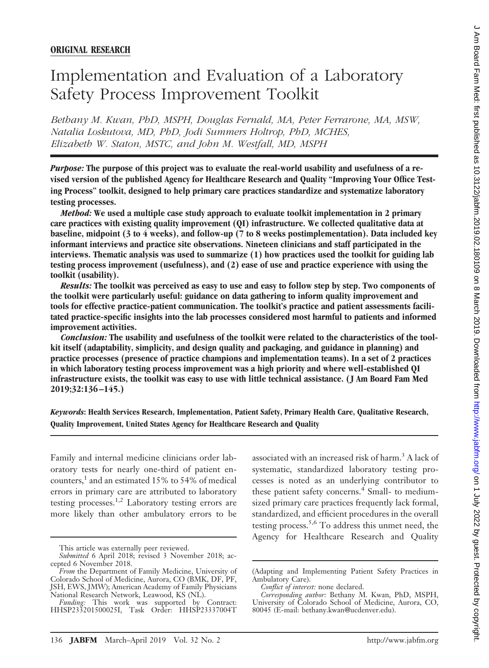# Implementation and Evaluation of a Laboratory Safety Process Improvement Toolkit

*Bethany M. Kwan, PhD, MSPH, Douglas Fernald, MA, Peter Ferrarone, MA, MSW, Natalia Loskutova, MD, PhD, Jodi Summers Holtrop, PhD, MCHES, Elizabeth W. Staton, MSTC, and John M. Westfall, MD, MSPH*

*Purpose:* **The purpose of this project was to evaluate the real-world usability and usefulness of a revised version of the published Agency for Healthcare Research and Quality "Improving Your Office Testing Process" toolkit, designed to help primary care practices standardize and systematize laboratory testing processes.**

*Method:* **We used a multiple case study approach to evaluate toolkit implementation in 2 primary care practices with existing quality improvement (QI) infrastructure. We collected qualitative data at baseline, midpoint (3 to 4 weeks), and follow-up (7 to 8 weeks postimplementation). Data included key informant interviews and practice site observations. Nineteen clinicians and staff participated in the interviews. Thematic analysis was used to summarize (1) how practices used the toolkit for guiding lab testing process improvement (usefulness), and (2) ease of use and practice experience with using the toolkit (usability).**

*Results:* **The toolkit was perceived as easy to use and easy to follow step by step. Two components of the toolkit were particularly useful: guidance on data gathering to inform quality improvement and tools for effective practice-patient communication. The toolkit's practice and patient assessments facilitated practice-specific insights into the lab processes considered most harmful to patients and informed improvement activities.**

*Conclusion:* **The usability and usefulness of the toolkit were related to the characteristics of the toolkit itself (adaptability, simplicity, and design quality and packaging, and guidance in planning) and practice processes (presence of practice champions and implementation teams). In a set of 2 practices in which laboratory testing process improvement was a high priority and where well-established QI infrastructure exists, the toolkit was easy to use with little technical assistance. (J Am Board Fam Med 2019;32:136–145.)**

*Keywords***: Health Services Research, Implementation, Patient Safety, Primary Health Care, Qualitative Research, Quality Improvement, United States Agency for Healthcare Research and Quality**

Family and internal medicine clinicians order laboratory tests for nearly one-third of patient encounters, $<sup>1</sup>$  and an estimated 15% to 54% of medical</sup> errors in primary care are attributed to laboratory testing processes.<sup>1,2</sup> Laboratory testing errors are more likely than other ambulatory errors to be

This article was externally peer reviewed.

associated with an increased risk of harm.<sup>3</sup> A lack of systematic, standardized laboratory testing processes is noted as an underlying contributor to these patient safety concerns.<sup>4</sup> Small- to mediumsized primary care practices frequently lack formal, standardized, and efficient procedures in the overall testing process.<sup>5,6</sup> To address this unmet need, the Agency for Healthcare Research and Quality

*Submitted* 6 April 2018; revised 3 November 2018; accepted 6 November 2018.

*From* the Department of Family Medicine, University of Colorado School of Medicine, Aurora, CO (BMK, DF, PF, JSH, EWS, JMW); American Academy of Family Physicians National Research Network, Leawood, KS (NL).

*Funding:* This work was supported by Contract: HHSP233201500025I, Task Order: HHSP23337004T

<sup>(</sup>Adapting and Implementing Patient Safety Practices in Ambulatory Care).

*Conflict of interest:* none declared.

*Corresponding author:* Bethany M. Kwan, PhD, MSPH, University of Colorado School of Medicine, Aurora, CO, 80045 (E-mail: [bethany.kwan@ucdenver.edu](mailto:bethany.kwan@ucdenver.edu)).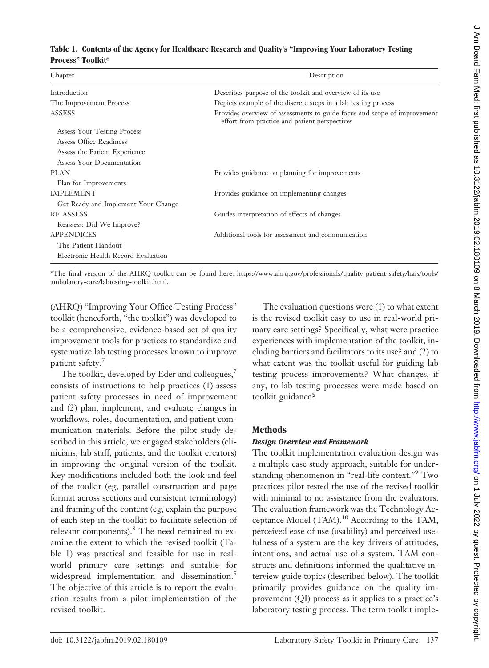#### **Table 1. Contents of the Agency for Healthcare Research and Quality's "Improving Your Laboratory Testing Process" Toolkit\***

|                                     | Description                                                                                                               |
|-------------------------------------|---------------------------------------------------------------------------------------------------------------------------|
| Introduction                        | Describes purpose of the toolkit and overview of its use                                                                  |
| The Improvement Process             | Depicts example of the discrete steps in a lab testing process                                                            |
| <b>ASSESS</b>                       | Provides overview of assessments to guide focus and scope of improvement<br>effort from practice and patient perspectives |
| Assess Your Testing Process         |                                                                                                                           |
| Assess Office Readiness             |                                                                                                                           |
| Assess the Patient Experience       |                                                                                                                           |
| Assess Your Documentation           |                                                                                                                           |
| <b>PLAN</b>                         | Provides guidance on planning for improvements                                                                            |
| Plan for Improvements               |                                                                                                                           |
| <b>IMPLEMENT</b>                    | Provides guidance on implementing changes                                                                                 |
| Get Ready and Implement Your Change |                                                                                                                           |
| <b>RE-ASSESS</b>                    | Guides interpretation of effects of changes                                                                               |
| Reassess: Did We Improve?           |                                                                                                                           |
| <b>APPENDICES</b>                   | Additional tools for assessment and communication                                                                         |
| The Patient Handout                 |                                                                                                                           |
| Electronic Health Record Evaluation |                                                                                                                           |
|                                     |                                                                                                                           |

\*The final version of the AHRQ toolkit can be found here: [https://www.ahrq.gov/professionals/quality-patient-safety/hais/tools/](https://www.ahrq.gov/professionals/quality-patient-safety/hais/tools/ambulatory-care/labtesting-toolkit.html) [ambulatory-care/labtesting-toolkit.html.](https://www.ahrq.gov/professionals/quality-patient-safety/hais/tools/ambulatory-care/labtesting-toolkit.html)

(AHRQ) "Improving Your Office Testing Process" toolkit (henceforth, "the toolkit") was developed to be a comprehensive, evidence-based set of quality improvement tools for practices to standardize and systematize lab testing processes known to improve patient safety.<sup>7</sup>

The toolkit, developed by Eder and colleagues,<sup>7</sup> consists of instructions to help practices (1) assess patient safety processes in need of improvement and (2) plan, implement, and evaluate changes in workflows, roles, documentation, and patient communication materials. Before the pilot study described in this article, we engaged stakeholders (clinicians, lab staff, patients, and the toolkit creators) in improving the original version of the toolkit. Key modifications included both the look and feel of the toolkit (eg, parallel construction and page format across sections and consistent terminology) and framing of the content (eg, explain the purpose of each step in the toolkit to facilitate selection of relevant components).<sup>8</sup> The need remained to examine the extent to which the revised toolkit (Table 1) was practical and feasible for use in realworld primary care settings and suitable for widespread implementation and dissemination.<sup>5</sup> The objective of this article is to report the evaluation results from a pilot implementation of the revised toolkit.

The evaluation questions were (1) to what extent is the revised toolkit easy to use in real-world primary care settings? Specifically, what were practice experiences with implementation of the toolkit, including barriers and facilitators to its use? and (2) to what extent was the toolkit useful for guiding lab testing process improvements? What changes, if any, to lab testing processes were made based on toolkit guidance?

# **Methods**

# *Design Overview and Framework*

The toolkit implementation evaluation design was a multiple case study approach, suitable for understanding phenomenon in "real-life context."9 Two practices pilot tested the use of the revised toolkit with minimal to no assistance from the evaluators. The evaluation framework was the Technology Acceptance Model (TAM).<sup>10</sup> According to the TAM, perceived ease of use (usability) and perceived usefulness of a system are the key drivers of attitudes, intentions, and actual use of a system. TAM constructs and definitions informed the qualitative interview guide topics (described below). The toolkit primarily provides guidance on the quality improvement (QI) process as it applies to a practice's laboratory testing process. The term toolkit imple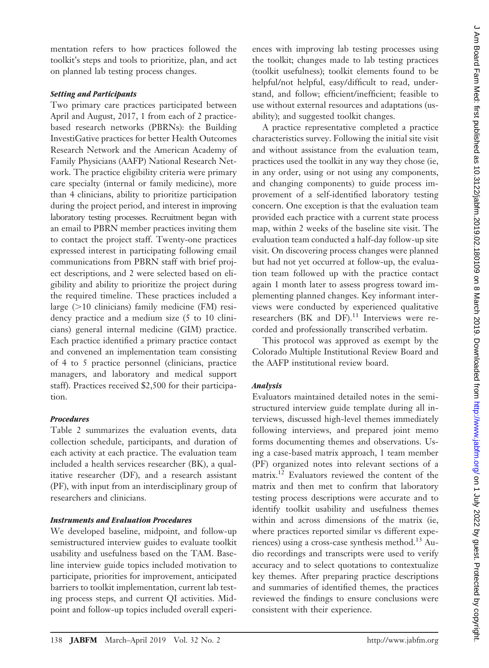mentation refers to how practices followed the toolkit's steps and tools to prioritize, plan, and act on planned lab testing process changes.

#### *Setting and Participants*

Two primary care practices participated between April and August, 2017, 1 from each of 2 practicebased research networks (PBRNs): the Building InvestiGative practices for better Health Outcomes Research Network and the American Academy of Family Physicians (AAFP) National Research Network. The practice eligibility criteria were primary care specialty (internal or family medicine), more than 4 clinicians, ability to prioritize participation during the project period, and interest in improving laboratory testing processes. Recruitment began with an email to PBRN member practices inviting them to contact the project staff. Twenty-one practices expressed interest in participating following email communications from PBRN staff with brief project descriptions, and 2 were selected based on eligibility and ability to prioritize the project during the required timeline. These practices included a large  $(>10$  clinicians) family medicine (FM) residency practice and a medium size (5 to 10 clinicians) general internal medicine (GIM) practice. Each practice identified a primary practice contact and convened an implementation team consisting of 4 to 5 practice personnel (clinicians, practice managers, and laboratory and medical support staff). Practices received \$2,500 for their participation.

# *Procedures*

Table 2 summarizes the evaluation events, data collection schedule, participants, and duration of each activity at each practice. The evaluation team included a health services researcher (BK), a qualitative researcher (DF), and a research assistant (PF), with input from an interdisciplinary group of researchers and clinicians.

# *Instruments and Evaluation Procedures*

We developed baseline, midpoint, and follow-up semistructured interview guides to evaluate toolkit usability and usefulness based on the TAM. Baseline interview guide topics included motivation to participate, priorities for improvement, anticipated barriers to toolkit implementation, current lab testing process steps, and current QI activities. Midpoint and follow-up topics included overall experi-

ences with improving lab testing processes using the toolkit; changes made to lab testing practices (toolkit usefulness); toolkit elements found to be helpful/not helpful, easy/difficult to read, understand, and follow; efficient/inefficient; feasible to use without external resources and adaptations (usability); and suggested toolkit changes.

A practice representative completed a practice characteristics survey. Following the initial site visit and without assistance from the evaluation team, practices used the toolkit in any way they chose (ie, in any order, using or not using any components, and changing components) to guide process improvement of a self-identified laboratory testing concern. One exception is that the evaluation team provided each practice with a current state process map, within 2 weeks of the baseline site visit. The evaluation team conducted a half-day follow-up site visit. On discovering process changes were planned but had not yet occurred at follow-up, the evaluation team followed up with the practice contact again 1 month later to assess progress toward implementing planned changes. Key informant interviews were conducted by experienced qualitative researchers (BK and  $DF$ ).<sup>11</sup> Interviews were recorded and professionally transcribed verbatim.

This protocol was approved as exempt by the Colorado Multiple Institutional Review Board and the AAFP institutional review board.

# *Analysis*

Evaluators maintained detailed notes in the semistructured interview guide template during all interviews, discussed high-level themes immediately following interviews, and prepared joint memo forms documenting themes and observations. Using a case-based matrix approach, 1 team member (PF) organized notes into relevant sections of a matrix.12 Evaluators reviewed the content of the matrix and then met to confirm that laboratory testing process descriptions were accurate and to identify toolkit usability and usefulness themes within and across dimensions of the matrix (ie, where practices reported similar vs different experiences) using a cross-case synthesis method.<sup>13</sup> Audio recordings and transcripts were used to verify accuracy and to select quotations to contextualize key themes. After preparing practice descriptions and summaries of identified themes, the practices reviewed the findings to ensure conclusions were consistent with their experience.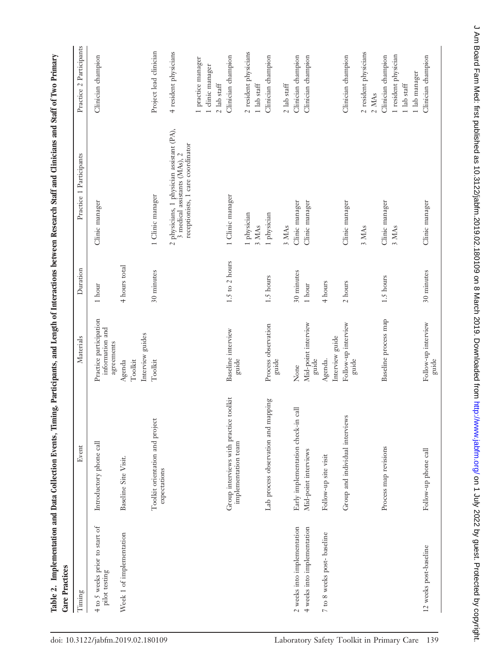| Care Practices                                  |                                                               |                                                         |                    | www.community.community.community.community.community.community.community.community.community.community.communi |                                                             |
|-------------------------------------------------|---------------------------------------------------------------|---------------------------------------------------------|--------------------|-----------------------------------------------------------------------------------------------------------------|-------------------------------------------------------------|
| Timing                                          | Event                                                         | Materials                                               | Duration           | Practice 1 Participants                                                                                         | Practice 2 Participants                                     |
| 4 to 5 weeks prior to start of<br>pilot testing | Introductory phone call                                       | Practice participation<br>information and<br>agreements | $1\,$ hour         | Clinic manager                                                                                                  | Clinician champion                                          |
| Week 1 of implementation                        | Baseline Site Visit.                                          | Interview guides<br>Toolkit<br>Agenda                   | 4 hours total      |                                                                                                                 |                                                             |
|                                                 | Toolkit orientation and project<br>expectations               | Toolkit                                                 | 30 minutes         | 1 Clinic manager                                                                                                | Project lead clinician                                      |
|                                                 |                                                               |                                                         |                    | 2 physicians, 1 physician assistant (PA),<br>receptionists, 1 care coordinator<br>3 medical assistants (MAs), 2 | 4 resident physicians                                       |
|                                                 |                                                               |                                                         |                    |                                                                                                                 | 1 practice manager<br>I clinic manager<br>$2\,$ lab staff   |
|                                                 | Group interviews with practice toolkit<br>implementation team | Baseline interview<br>guide                             | $1.5$ to $2$ hours | 1 Clinic manager                                                                                                | Clinician champion                                          |
|                                                 |                                                               |                                                         |                    | 1 physician<br>3 MAs                                                                                            | 2 resident physicians<br>$1$ lab staff                      |
|                                                 | Lab process observation and mapping                           | Process observation<br>guide                            | 1.5 hours          | 1 physician                                                                                                     | Clinician champion                                          |
|                                                 |                                                               |                                                         |                    | 3 MAs                                                                                                           | $2$ lab staff                                               |
| 2 weeks into implementation                     | Early implementation check-in call                            | None                                                    | 30 minutes         | Clinic manager                                                                                                  | Clinician champion                                          |
| 4 weeks into implementation                     | Mid-point interviews                                          | Mid-point interview<br>guide                            | $1\,$ hour         | Clinic manager                                                                                                  | Clinician champion                                          |
| 7 to 8 weeks post- baseline                     | Follow-up site visit                                          | Interview guide<br>Agenda.                              | $4$ hours          |                                                                                                                 |                                                             |
|                                                 | Group and individual interviews                               | Follow-up interview<br>guide                            | $2\,$ hours        | Clinic manager                                                                                                  | Clinician champion                                          |
|                                                 |                                                               |                                                         |                    | 3 MAs                                                                                                           | 2 resident physicians<br>2 MAs                              |
|                                                 | Process map revisions                                         | Baseline process map                                    | 1.5 hours          | Clinic manager<br>3 MAs                                                                                         | 1 resident physician<br>Clinician champion<br>$1$ lab staff |
|                                                 |                                                               |                                                         |                    |                                                                                                                 | 1 lab manager                                               |
| 12 weeks post-baseline                          | Follow-up phone call                                          | Follow-up interview<br>guide                            | 30 minutes         | Clinic manager                                                                                                  | Clinician champion                                          |

Table 2. Implementation and Data Collection Events. Timing. Participants, and Length of Interactions between Research Staff and Clinicians and Staff of Two Primary Table 2. Implementation and Data Collection Events, Timing, Participants, and Length of Interactions between Research Staff and Clinicians and Staff of Two Primary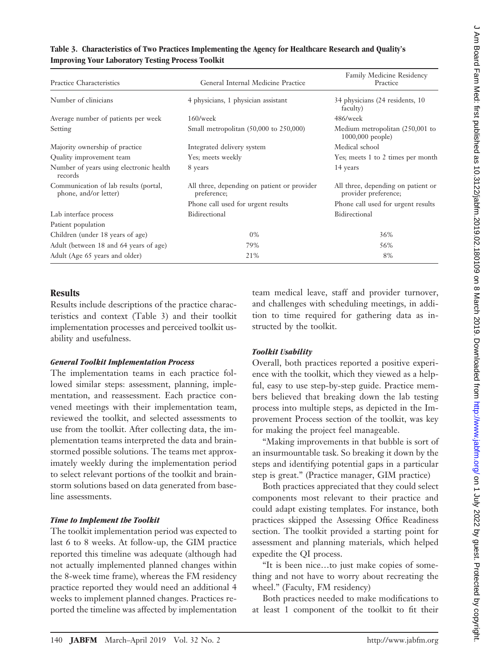| mproving rour moormory resung rrocess roomn                    |                                                            |                                                            |  |
|----------------------------------------------------------------|------------------------------------------------------------|------------------------------------------------------------|--|
| Practice Characteristics                                       | General Internal Medicine Practice                         | <b>Family Medicine Residency</b><br>Practice               |  |
| Number of clinicians                                           | 4 physicians, 1 physician assistant                        | 34 physicians (24 residents, 10<br>faculty)                |  |
| Average number of patients per week                            | $160$ /week                                                | 486/week                                                   |  |
| Setting                                                        | Small metropolitan $(50,000)$ to $250,000$                 | Medium metropolitan (250,001 to<br>1000,000 people)        |  |
| Majority ownership of practice                                 | Integrated delivery system                                 | Medical school                                             |  |
| Quality improvement team                                       | Yes; meets weekly                                          | Yes; meets 1 to 2 times per month                          |  |
| Number of years using electronic health<br>records             | 8 years                                                    | 14 years                                                   |  |
| Communication of lab results (portal,<br>phone, and/or letter) | All three, depending on patient or provider<br>preference; | All three, depending on patient or<br>provider preference; |  |
|                                                                | Phone call used for urgent results                         | Phone call used for urgent results                         |  |
| Lab interface process                                          | Bidirectional                                              | Bidirectional                                              |  |
| Patient population                                             |                                                            |                                                            |  |
| Children (under 18 years of age)                               | $0\%$                                                      | 36%                                                        |  |
| Adult (between 18 and 64 years of age)                         | 79%                                                        | 56%                                                        |  |
| Adult (Age 65 years and older)                                 | 21%                                                        | 8%                                                         |  |

## **Table 3. Characteristics of Two Practices Implementing the Agency for Healthcare Research and Quality's Improving Your Laboratory Testing Process Toolkit**

# **Results**

Results include descriptions of the practice characteristics and context (Table 3) and their toolkit implementation processes and perceived toolkit usability and usefulness.

# *General Toolkit Implementation Process*

The implementation teams in each practice followed similar steps: assessment, planning, implementation, and reassessment. Each practice convened meetings with their implementation team, reviewed the toolkit, and selected assessments to use from the toolkit. After collecting data, the implementation teams interpreted the data and brainstormed possible solutions. The teams met approximately weekly during the implementation period to select relevant portions of the toolkit and brainstorm solutions based on data generated from baseline assessments.

# *Time to Implement the Toolkit*

The toolkit implementation period was expected to last 6 to 8 weeks. At follow-up, the GIM practice reported this timeline was adequate (although had not actually implemented planned changes within the 8-week time frame), whereas the FM residency practice reported they would need an additional 4 weeks to implement planned changes. Practices reported the timeline was affected by implementation

team medical leave, staff and provider turnover, and challenges with scheduling meetings, in addition to time required for gathering data as instructed by the toolkit.

# *Toolkit Usability*

Overall, both practices reported a positive experience with the toolkit, which they viewed as a helpful, easy to use step-by-step guide. Practice members believed that breaking down the lab testing process into multiple steps, as depicted in the Improvement Process section of the toolkit, was key for making the project feel manageable.

"Making improvements in that bubble is sort of an insurmountable task. So breaking it down by the steps and identifying potential gaps in a particular step is great." (Practice manager, GIM practice)

Both practices appreciated that they could select components most relevant to their practice and could adapt existing templates. For instance, both practices skipped the Assessing Office Readiness section. The toolkit provided a starting point for assessment and planning materials, which helped expedite the QI process.

"It is been nice…to just make copies of something and not have to worry about recreating the wheel." (Faculty, FM residency)

Both practices needed to make modifications to at least 1 component of the toolkit to fit their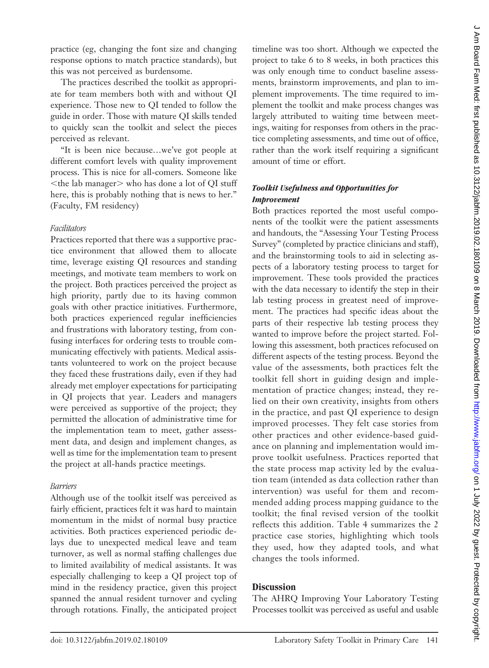practice (eg, changing the font size and changing response options to match practice standards), but this was not perceived as burdensome.

The practices described the toolkit as appropriate for team members both with and without QI experience. Those new to QI tended to follow the guide in order. Those with mature QI skills tended to quickly scan the toolkit and select the pieces perceived as relevant.

"It is been nice because…we've got people at different comfort levels with quality improvement process. This is nice for all-comers. Someone like  $\leq$ the lab manager $>$  who has done a lot of QI stuff here, this is probably nothing that is news to her." (Faculty, FM residency)

## *Facilitators*

Practices reported that there was a supportive practice environment that allowed them to allocate time, leverage existing QI resources and standing meetings, and motivate team members to work on the project. Both practices perceived the project as high priority, partly due to its having common goals with other practice initiatives. Furthermore, both practices experienced regular inefficiencies and frustrations with laboratory testing, from confusing interfaces for ordering tests to trouble communicating effectively with patients. Medical assistants volunteered to work on the project because they faced these frustrations daily, even if they had already met employer expectations for participating in QI projects that year. Leaders and managers were perceived as supportive of the project; they permitted the allocation of administrative time for the implementation team to meet, gather assessment data, and design and implement changes, as well as time for the implementation team to present the project at all-hands practice meetings.

# *Barriers*

Although use of the toolkit itself was perceived as fairly efficient, practices felt it was hard to maintain momentum in the midst of normal busy practice activities. Both practices experienced periodic delays due to unexpected medical leave and team turnover, as well as normal staffing challenges due to limited availability of medical assistants. It was especially challenging to keep a QI project top of mind in the residency practice, given this project spanned the annual resident turnover and cycling through rotations. Finally, the anticipated project

timeline was too short. Although we expected the project to take 6 to 8 weeks, in both practices this was only enough time to conduct baseline assessments, brainstorm improvements, and plan to implement improvements. The time required to implement the toolkit and make process changes was largely attributed to waiting time between meetings, waiting for responses from others in the practice completing assessments, and time out of office, rather than the work itself requiring a significant amount of time or effort.

# *Toolkit Usefulness and Opportunities for Improvement*

Both practices reported the most useful components of the toolkit were the patient assessments and handouts, the "Assessing Your Testing Process Survey" (completed by practice clinicians and staff), and the brainstorming tools to aid in selecting aspects of a laboratory testing process to target for improvement. These tools provided the practices with the data necessary to identify the step in their lab testing process in greatest need of improvement. The practices had specific ideas about the parts of their respective lab testing process they wanted to improve before the project started. Following this assessment, both practices refocused on different aspects of the testing process. Beyond the value of the assessments, both practices felt the toolkit fell short in guiding design and implementation of practice changes; instead, they relied on their own creativity, insights from others in the practice, and past QI experience to design improved processes. They felt case stories from other practices and other evidence-based guidance on planning and implementation would improve toolkit usefulness. Practices reported that the state process map activity led by the evaluation team (intended as data collection rather than intervention) was useful for them and recommended adding process mapping guidance to the toolkit; the final revised version of the toolkit reflects this addition. Table 4 summarizes the 2 practice case stories, highlighting which tools they used, how they adapted tools, and what changes the tools informed.

# **Discussion**

The AHRQ Improving Your Laboratory Testing Processes toolkit was perceived as useful and usable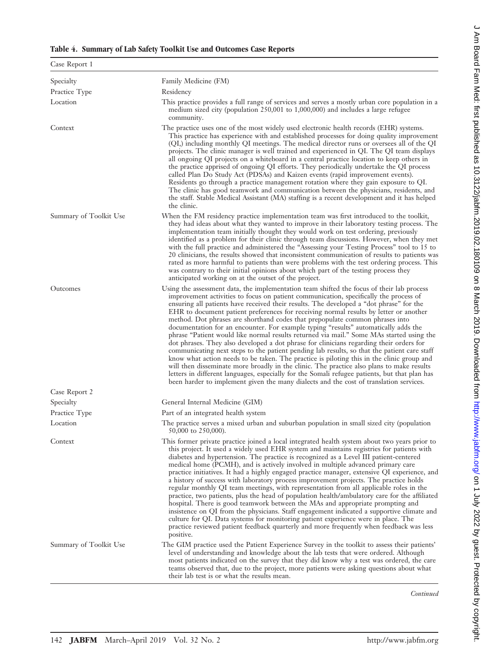|  |  |  |  |  |  |  | Table 4. Summary of Lab Safety Toolkit Use and Outcomes Case Reports |
|--|--|--|--|--|--|--|----------------------------------------------------------------------|
|--|--|--|--|--|--|--|----------------------------------------------------------------------|

| Case Report 1          |                                                                                                                                                                                                                                                                                                                                                                                                                                                                                                                                                                                                                                                                                                                                                                                                                                                                                                                                                                                                                                                                                                                                                                                                                          |
|------------------------|--------------------------------------------------------------------------------------------------------------------------------------------------------------------------------------------------------------------------------------------------------------------------------------------------------------------------------------------------------------------------------------------------------------------------------------------------------------------------------------------------------------------------------------------------------------------------------------------------------------------------------------------------------------------------------------------------------------------------------------------------------------------------------------------------------------------------------------------------------------------------------------------------------------------------------------------------------------------------------------------------------------------------------------------------------------------------------------------------------------------------------------------------------------------------------------------------------------------------|
| Specialty              | Family Medicine (FM)                                                                                                                                                                                                                                                                                                                                                                                                                                                                                                                                                                                                                                                                                                                                                                                                                                                                                                                                                                                                                                                                                                                                                                                                     |
| Practice Type          | Residency                                                                                                                                                                                                                                                                                                                                                                                                                                                                                                                                                                                                                                                                                                                                                                                                                                                                                                                                                                                                                                                                                                                                                                                                                |
| Location               | This practice provides a full range of services and serves a mostly urban core population in a<br>medium sized city (population 250,001 to 1,000,000) and includes a large refugee<br>community.                                                                                                                                                                                                                                                                                                                                                                                                                                                                                                                                                                                                                                                                                                                                                                                                                                                                                                                                                                                                                         |
| Context                | The practice uses one of the most widely used electronic health records (EHR) systems.<br>This practice has experience with and established processes for doing quality improvement<br>(QI,) including monthly QI meetings. The medical director runs or oversees all of the QI<br>projects. The clinic manager is well trained and experienced in QI. The QI team displays<br>all ongoing QI projects on a whiteboard in a central practice location to keep others in<br>the practice apprised of ongoing QI efforts. They periodically undertake the QI process<br>called Plan Do Study Act (PDSAs) and Kaizen events (rapid improvement events).<br>Residents go through a practice management rotation where they gain exposure to QI.<br>The clinic has good teamwork and communication between the physicians, residents, and<br>the staff. Stable Medical Assistant (MA) staffing is a recent development and it has helped<br>the clinic.                                                                                                                                                                                                                                                                       |
| Summary of Toolkit Use | When the FM residency practice implementation team was first introduced to the toolkit,<br>they had ideas about what they wanted to improve in their laboratory testing process. The<br>implementation team initially thought they would work on test ordering, previously<br>identified as a problem for their clinic through team discussions. However, when they met<br>with the full practice and administered the "Assessing your Testing Process" tool to 15 to<br>20 clinicians, the results showed that inconsistent communication of results to patients was<br>rated as more harmful to patients than were problems with the test ordering process. This<br>was contrary to their initial opinions about which part of the testing process they<br>anticipated working on at the outset of the project.                                                                                                                                                                                                                                                                                                                                                                                                        |
| Outcomes               | Using the assessment data, the implementation team shifted the focus of their lab process<br>improvement activities to focus on patient communication, specifically the process of<br>ensuring all patients have received their results. The developed a "dot phrase" for the<br>EHR to document patient preferences for receiving normal results by letter or another<br>method. Dot phrases are shorthand codes that prepopulate common phrases into<br>documentation for an encounter. For example typing "results" automatically adds the<br>phrase "Patient would like normal results returned via mail." Some MAs started using the<br>dot phrases. They also developed a dot phrase for clinicians regarding their orders for<br>communicating next steps to the patient pending lab results, so that the patient care staff<br>know what action needs to be taken. The practice is piloting this in the clinic group and<br>will then disseminate more broadly in the clinic. The practice also plans to make results<br>letters in different languages, especially for the Somali refugee patients, but that plan has<br>been harder to implement given the many dialects and the cost of translation services. |
| Case Report 2          |                                                                                                                                                                                                                                                                                                                                                                                                                                                                                                                                                                                                                                                                                                                                                                                                                                                                                                                                                                                                                                                                                                                                                                                                                          |
| Specialty              | General Internal Medicine (GIM)                                                                                                                                                                                                                                                                                                                                                                                                                                                                                                                                                                                                                                                                                                                                                                                                                                                                                                                                                                                                                                                                                                                                                                                          |
| Practice Type          | Part of an integrated health system                                                                                                                                                                                                                                                                                                                                                                                                                                                                                                                                                                                                                                                                                                                                                                                                                                                                                                                                                                                                                                                                                                                                                                                      |
| Location               | The practice serves a mixed urban and suburban population in small sized city (population<br>50,000 to 250,000).                                                                                                                                                                                                                                                                                                                                                                                                                                                                                                                                                                                                                                                                                                                                                                                                                                                                                                                                                                                                                                                                                                         |
| Context                | This former private practice joined a local integrated health system about two years prior to<br>this project. It used a widely used EHR system and maintains registries for patients with<br>diabetes and hypertension. The practice is recognized as a Level III patient-centered<br>medical home (PCMH), and is actively involved in multiple advanced primary care<br>practice initiatives. It had a highly engaged practice manager, extensive QI experience, and<br>a history of success with laboratory process improvement projects. The practice holds<br>regular monthly QI team meetings, with representation from all applicable roles in the<br>practice, two patients, plus the head of population health/ambulatory care for the affiliated<br>hospital. There is good teamwork between the MAs and appropriate prompting and<br>insistence on QI from the physicians. Staff engagement indicated a supportive climate and<br>culture for QI. Data systems for monitoring patient experience were in place. The<br>practice reviewed patient feedback quarterly and more frequently when feedback was less<br>positive.                                                                                   |
| Summary of Toolkit Use | The GIM practice used the Patient Experience Survey in the toolkit to assess their patients'<br>level of understanding and knowledge about the lab tests that were ordered. Although<br>most patients indicated on the survey that they did know why a test was ordered, the care<br>teams observed that, due to the project, more patients were asking questions about what<br>their lab test is or what the results mean.                                                                                                                                                                                                                                                                                                                                                                                                                                                                                                                                                                                                                                                                                                                                                                                              |

*Continued*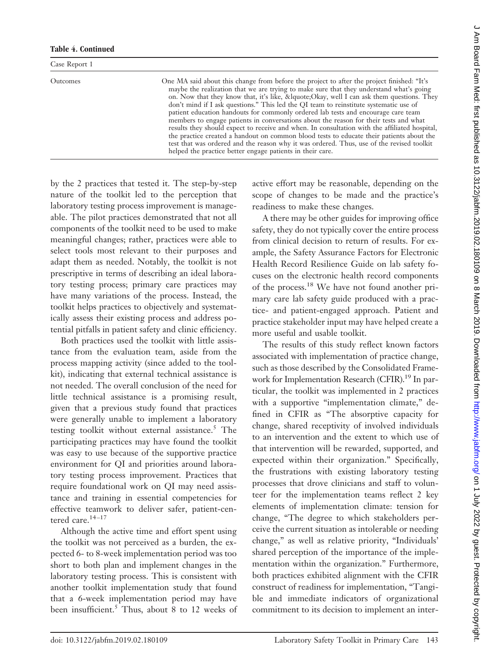#### **Table 4. Continued**

| Case Report 1   |                                                                                                                                                                                                                                                                                                                                                                                                                                                                                                                                                                                                                                                                                                                                                                                                                                                                                                                  |
|-----------------|------------------------------------------------------------------------------------------------------------------------------------------------------------------------------------------------------------------------------------------------------------------------------------------------------------------------------------------------------------------------------------------------------------------------------------------------------------------------------------------------------------------------------------------------------------------------------------------------------------------------------------------------------------------------------------------------------------------------------------------------------------------------------------------------------------------------------------------------------------------------------------------------------------------|
| <b>Outcomes</b> | One MA said about this change from before the project to after the project finished: "It's<br>maybe the realization that we are trying to make sure that they understand what's going<br>on. Now that they know that, it's like, &lquote Okay, well I can ask them questions. They<br>don't mind if I ask questions." This led the QI team to reinstitute systematic use of<br>patient education handouts for commonly ordered lab tests and encourage care team<br>members to engage patients in conversations about the reason for their tests and what<br>results they should expect to receive and when. In consultation with the affiliated hospital,<br>the practice created a handout on common blood tests to educate their patients about the<br>test that was ordered and the reason why it was ordered. Thus, use of the revised toolkit<br>helped the practice better engage patients in their care. |

by the 2 practices that tested it. The step-by-step nature of the toolkit led to the perception that laboratory testing process improvement is manageable. The pilot practices demonstrated that not all components of the toolkit need to be used to make meaningful changes; rather, practices were able to select tools most relevant to their purposes and adapt them as needed. Notably, the toolkit is not prescriptive in terms of describing an ideal laboratory testing process; primary care practices may have many variations of the process. Instead, the toolkit helps practices to objectively and systematically assess their existing process and address potential pitfalls in patient safety and clinic efficiency.

Both practices used the toolkit with little assistance from the evaluation team, aside from the process mapping activity (since added to the toolkit), indicating that external technical assistance is not needed. The overall conclusion of the need for little technical assistance is a promising result, given that a previous study found that practices were generally unable to implement a laboratory testing toolkit without external assistance.<sup>5</sup> The participating practices may have found the toolkit was easy to use because of the supportive practice environment for QI and priorities around laboratory testing process improvement. Practices that require foundational work on QI may need assistance and training in essential competencies for effective teamwork to deliver safer, patient-centered care.<sup>14-17</sup>

Although the active time and effort spent using the toolkit was not perceived as a burden, the expected 6- to 8-week implementation period was too short to both plan and implement changes in the laboratory testing process. This is consistent with another toolkit implementation study that found that a 6-week implementation period may have been insufficient.<sup>5</sup> Thus, about 8 to 12 weeks of active effort may be reasonable, depending on the scope of changes to be made and the practice's readiness to make these changes.

A there may be other guides for improving office safety, they do not typically cover the entire process from clinical decision to return of results. For example, the Safety Assurance Factors for Electronic Health Record Resilience Guide on lab safety focuses on the electronic health record components of the process.18 We have not found another primary care lab safety guide produced with a practice- and patient-engaged approach. Patient and practice stakeholder input may have helped create a more useful and usable toolkit.

The results of this study reflect known factors associated with implementation of practice change, such as those described by the Consolidated Framework for Implementation Research (CFIR).<sup>19</sup> In particular, the toolkit was implemented in 2 practices with a supportive "implementation climate," defined in CFIR as "The absorptive capacity for change, shared receptivity of involved individuals to an intervention and the extent to which use of that intervention will be rewarded, supported, and expected within their organization." Specifically, the frustrations with existing laboratory testing processes that drove clinicians and staff to volunteer for the implementation teams reflect 2 key elements of implementation climate: tension for change, "The degree to which stakeholders perceive the current situation as intolerable or needing change," as well as relative priority, "Individuals' shared perception of the importance of the implementation within the organization." Furthermore, both practices exhibited alignment with the CFIR construct of readiness for implementation, "Tangible and immediate indicators of organizational commitment to its decision to implement an inter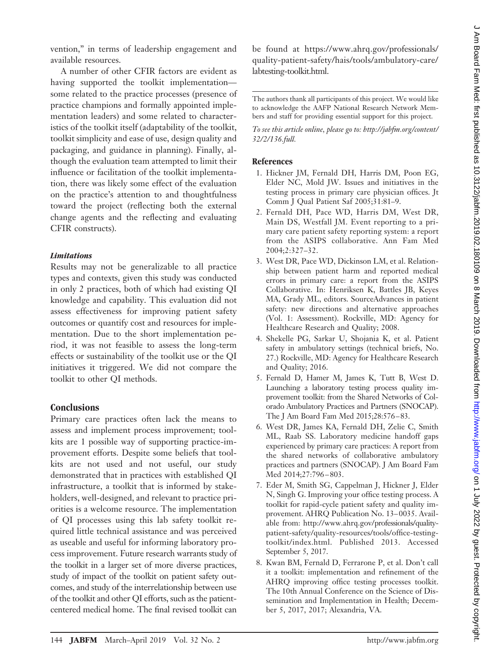vention," in terms of leadership engagement and available resources.

A number of other CFIR factors are evident as having supported the toolkit implementation some related to the practice processes (presence of practice champions and formally appointed implementation leaders) and some related to characteristics of the toolkit itself (adaptability of the toolkit, toolkit simplicity and ease of use, design quality and packaging, and guidance in planning). Finally, although the evaluation team attempted to limit their influence or facilitation of the toolkit implementation, there was likely some effect of the evaluation on the practice's attention to and thoughtfulness toward the project (reflecting both the external change agents and the reflecting and evaluating CFIR constructs).

## *Limitations*

Results may not be generalizable to all practice types and contexts, given this study was conducted in only 2 practices, both of which had existing QI knowledge and capability. This evaluation did not assess effectiveness for improving patient safety outcomes or quantify cost and resources for implementation. Due to the short implementation period, it was not feasible to assess the long-term effects or sustainability of the toolkit use or the QI initiatives it triggered. We did not compare the toolkit to other QI methods.

# **Conclusions**

Primary care practices often lack the means to assess and implement process improvement; toolkits are 1 possible way of supporting practice-improvement efforts. Despite some beliefs that toolkits are not used and not useful, our study demonstrated that in practices with established QI infrastructure, a toolkit that is informed by stakeholders, well-designed, and relevant to practice priorities is a welcome resource. The implementation of QI processes using this lab safety toolkit required little technical assistance and was perceived as useable and useful for informing laboratory process improvement. Future research warrants study of the toolkit in a larger set of more diverse practices, study of impact of the toolkit on patient safety outcomes, and study of the interrelationship between use of the toolkit and other QI efforts, such as the patientcentered medical home. The final revised toolkit can

be found at [https://www.ahrq.gov/professionals/](https://www.ahrq.gov/professionals/quality-patient-safety/hais/tools/ambulatory-care/labtesting-toolkit.html) [quality-patient-safety/hais/tools/ambulatory-care/](https://www.ahrq.gov/professionals/quality-patient-safety/hais/tools/ambulatory-care/labtesting-toolkit.html) [labtesting-toolkit.html.](https://www.ahrq.gov/professionals/quality-patient-safety/hais/tools/ambulatory-care/labtesting-toolkit.html)

The authors thank all participants of this project. We would like to acknowledge the AAFP National Research Network Members and staff for providing essential support for this project.

*To see this article online, please go to: [http://jabfm.org/content/](http://jabfm.org/content/32/2/136.full) [32/2/136.full.](http://jabfm.org/content/32/2/136.full)*

# **References**

- 1. Hickner JM, Fernald DH, Harris DM, Poon EG, Elder NC, Mold JW. Issues and initiatives in the testing process in primary care physician offices. Jt Comm J Qual Patient Saf 2005;31:81–9.
- 2. Fernald DH, Pace WD, Harris DM, West DR, Main DS, Westfall JM. Event reporting to a primary care patient safety reporting system: a report from the ASIPS collaborative. Ann Fam Med 2004;2:327–32.
- 3. West DR, Pace WD, Dickinson LM, et al. Relationship between patient harm and reported medical errors in primary care: a report from the ASIPS Collaborative. In: Henriksen K, Battles JB, Keyes MA, Grady ML, editors. SourceAdvances in patient safety: new directions and alternative approaches (Vol. 1: Assessment). Rockville, MD: Agency for Healthcare Research and Quality; 2008.
- 4. Shekelle PG, Sarkar U, Shojania K, et al. Patient safety in ambulatory settings (technical briefs, No. 27.) Rockville, MD: Agency for Healthcare Research and Quality; 2016.
- 5. Fernald D, Hamer M, James K, Tutt B, West D. Launching a laboratory testing process quality improvement toolkit: from the Shared Networks of Colorado Ambulatory Practices and Partners (SNOCAP). The J Am Board Fam Med 2015;28:576 –83.
- 6. West DR, James KA, Fernald DH, Zelie C, Smith ML, Raab SS. Laboratory medicine handoff gaps experienced by primary care practices: A report from the shared networks of collaborative ambulatory practices and partners (SNOCAP). J Am Board Fam Med 2014;27:796-803.
- 7. Eder M, Smith SG, Cappelman J, Hickner J, Elder N, Singh G. Improving your office testing process. A toolkit for rapid-cycle patient safety and quality improvement. AHRQ Publication No. 13– 0035. Available from: [http://www.ahrq.gov/professionals/quality](http://www.ahrq.gov/professionals/quality-patient-safety/quality-resources/tools/office-testing-toolkit/index.html)[patient-safety/quality-resources/tools/office-testing](http://www.ahrq.gov/professionals/quality-patient-safety/quality-resources/tools/office-testing-toolkit/index.html)[toolkit/index.html.](http://www.ahrq.gov/professionals/quality-patient-safety/quality-resources/tools/office-testing-toolkit/index.html) Published 2013. Accessed September 5, 2017.
- 8. Kwan BM, Fernald D, Ferrarone P, et al. Don't call it a toolkit: implementation and refinement of the AHRQ improving office testing processes toolkit. The 10th Annual Conference on the Science of Dissemination and Implementation in Health; December 5, 2017, 2017; Alexandria, VA.